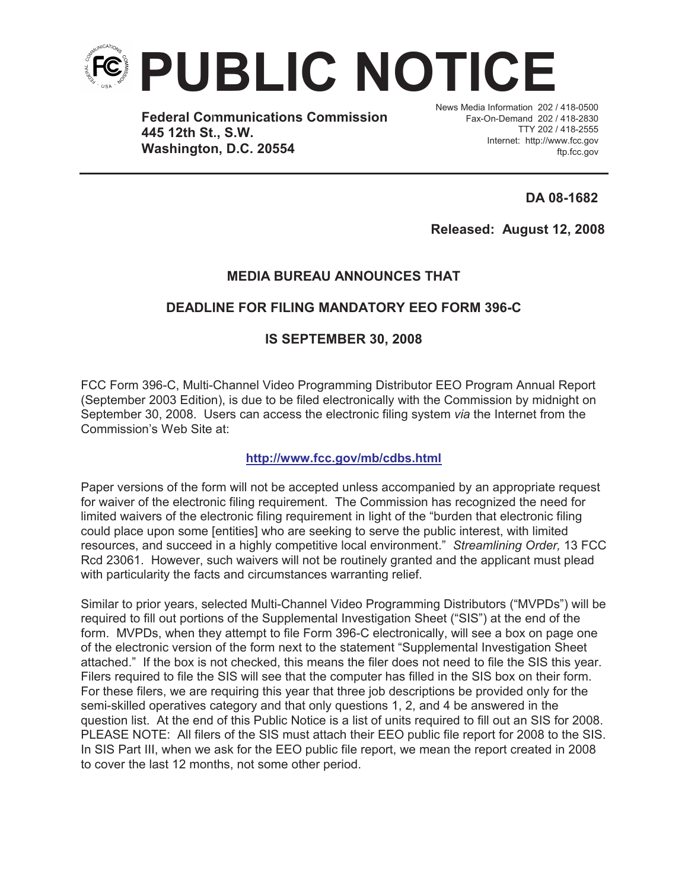

**Federal Communications Commission 445 12th St., S.W. Washington, D.C. 20554**

News Media Information 202 / 418-0500 Fax-On-Demand 202 / 418-2830 TTY 202 / 418-2555 Internet: http://www.fcc.gov ftp.fcc.gov

**DA 08-1682**

**Released: August 12, 2008**

# **MEDIA BUREAU ANNOUNCES THAT**

# **DEADLINE FOR FILING MANDATORY EEO FORM 396-C**

## **IS SEPTEMBER 30, 2008**

FCC Form 396-C, Multi-Channel Video Programming Distributor EEO Program Annual Report (September 2003 Edition), is due to be filed electronically with the Commission by midnight on September 30, 2008. Users can access the electronic filing system *via* the Internet from the Commission's Web Site at:

## **http://www.fcc.gov/mb/cdbs.html**

Paper versions of the form will not be accepted unless accompanied by an appropriate request for waiver of the electronic filing requirement. The Commission has recognized the need for limited waivers of the electronic filing requirement in light of the "burden that electronic filing could place upon some [entities] who are seeking to serve the public interest, with limited resources, and succeed in a highly competitive local environment." *Streamlining Order,* 13 FCC Rcd 23061. However, such waivers will not be routinely granted and the applicant must plead with particularity the facts and circumstances warranting relief.

Similar to prior years, selected Multi-Channel Video Programming Distributors ("MVPDs") will be required to fill out portions of the Supplemental Investigation Sheet ("SIS") at the end of the form. MVPDs, when they attempt to file Form 396-C electronically, will see a box on page one of the electronic version of the form next to the statement "Supplemental Investigation Sheet attached." If the box is not checked, this means the filer does not need to file the SIS this year. Filers required to file the SIS will see that the computer has filled in the SIS box on their form. For these filers, we are requiring this year that three job descriptions be provided only for the semi-skilled operatives category and that only questions 1, 2, and 4 be answered in the question list. At the end of this Public Notice is a list of units required to fill out an SIS for 2008. PLEASE NOTE: All filers of the SIS must attach their EEO public file report for 2008 to the SIS. In SIS Part III, when we ask for the EEO public file report, we mean the report created in 2008 to cover the last 12 months, not some other period.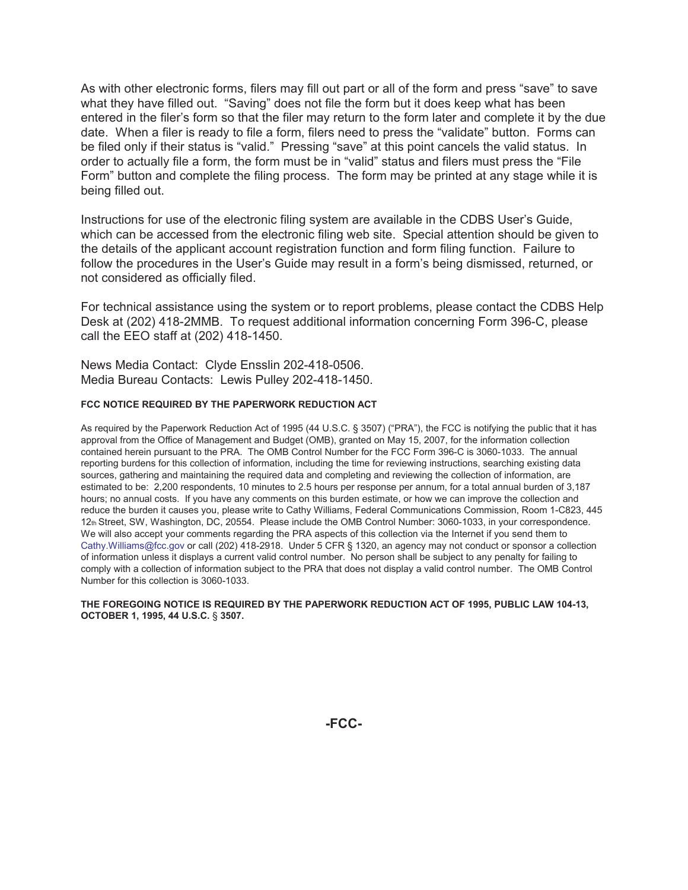As with other electronic forms, filers may fill out part or all of the form and press "save" to save what they have filled out. "Saving" does not file the form but it does keep what has been entered in the filer's form so that the filer may return to the form later and complete it by the due date. When a filer is ready to file a form, filers need to press the "validate" button. Forms can be filed only if their status is "valid." Pressing "save" at this point cancels the valid status. In order to actually file a form, the form must be in "valid" status and filers must press the "File Form" button and complete the filing process. The form may be printed at any stage while it is being filled out.

Instructions for use of the electronic filing system are available in the CDBS User's Guide, which can be accessed from the electronic filing web site. Special attention should be given to the details of the applicant account registration function and form filing function. Failure to follow the procedures in the User's Guide may result in a form's being dismissed, returned, or not considered as officially filed.

For technical assistance using the system or to report problems, please contact the CDBS Help Desk at (202) 418-2MMB. To request additional information concerning Form 396-C, please call the EEO staff at (202) 418-1450.

News Media Contact: Clyde Ensslin 202-418-0506. Media Bureau Contacts: Lewis Pulley 202-418-1450.

### **FCC NOTICE REQUIRED BY THE PAPERWORK REDUCTION ACT**

As required by the Paperwork Reduction Act of 1995 (44 U.S.C. § 3507) ("PRA"), the FCC is notifying the public that it has approval from the Office of Management and Budget (OMB), granted on May 15, 2007, for the information collection contained herein pursuant to the PRA. The OMB Control Number for the FCC Form 396-C is 3060-1033. The annual reporting burdens for this collection of information, including the time for reviewing instructions, searching existing data sources, gathering and maintaining the required data and completing and reviewing the collection of information, are estimated to be: 2,200 respondents, 10 minutes to 2.5 hours per response per annum, for a total annual burden of 3,187 hours; no annual costs. If you have any comments on this burden estimate, or how we can improve the collection and reduce the burden it causes you, please write to Cathy Williams, Federal Communications Commission, Room 1-C823, 445 12th Street, SW, Washington, DC, 20554. Please include the OMB Control Number: 3060-1033, in your correspondence. We will also accept your comments regarding the PRA aspects of this collection via the Internet if you send them to Cathy.Williams@fcc.gov or call (202) 418-2918. Under 5 CFR § 1320, an agency may not conduct or sponsor a collection of information unless it displays a current valid control number. No person shall be subject to any penalty for failing to comply with a collection of information subject to the PRA that does not display a valid control number. The OMB Control Number for this collection is 3060-1033.

#### **THE FOREGOING NOTICE IS REQUIRED BY THE PAPERWORK REDUCTION ACT OF 1995, PUBLIC LAW 104-13, OCTOBER 1, 1995, 44 U.S.C.** § **3507.**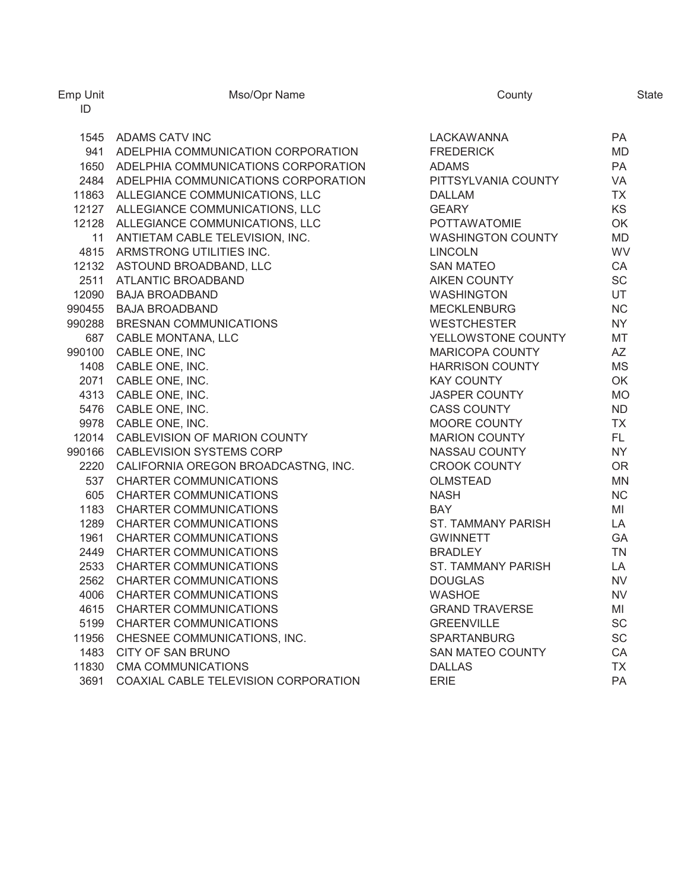| Emp Unit<br>ID | Mso/Opr Name                             | County                    | <b>State</b> |
|----------------|------------------------------------------|---------------------------|--------------|
|                | 1545 ADAMS CATV INC                      | LACKAWANNA                | PA           |
|                | 941 ADELPHIA COMMUNICATION CORPORATION   | <b>FREDERICK</b>          | MD           |
|                | 1650 ADELPHIA COMMUNICATIONS CORPORATION | <b>ADAMS</b>              | PA           |
|                | 2484 ADELPHIA COMMUNICATIONS CORPORATION | PITTSYLVANIA COUNTY       | VA           |
|                | 11863 ALLEGIANCE COMMUNICATIONS, LLC     | <b>DALLAM</b>             | <b>TX</b>    |
|                | 12127 ALLEGIANCE COMMUNICATIONS, LLC     | <b>GEARY</b>              | <b>KS</b>    |
|                | 12128 ALLEGIANCE COMMUNICATIONS, LLC     | <b>POTTAWATOMIE</b>       | OK           |
|                | 11 ANTIETAM CABLE TELEVISION, INC.       | <b>WASHINGTON COUNTY</b>  | <b>MD</b>    |
|                | 4815 ARMSTRONG UTILITIES INC.            | <b>LINCOLN</b>            | <b>WV</b>    |
|                | 12132 ASTOUND BROADBAND, LLC             | <b>SAN MATEO</b>          | CA           |
|                | 2511 ATLANTIC BROADBAND                  | AIKEN COUNTY              | <b>SC</b>    |
|                | 12090 BAJA BROADBAND                     | WASHINGTON                | UT           |
|                | 990455 BAJA BROADBAND                    | MECKLENBURG               | <b>NC</b>    |
|                | 990288 BRESNAN COMMUNICATIONS            | <b>WESTCHESTER</b>        | <b>NY</b>    |
|                | 687 CABLE MONTANA, LLC                   | YELLOWSTONE COUNTY        | MT           |
|                | 990100 CABLE ONE, INC                    | MARICOPA COUNTY           | AZ           |
|                | 1408 CABLE ONE, INC.                     | <b>HARRISON COUNTY</b>    | <b>MS</b>    |
|                | 2071 CABLE ONE, INC.                     | <b>KAY COUNTY</b>         | OK           |
|                | 4313 CABLE ONE, INC.                     | JASPER COUNTY             | <b>MO</b>    |
|                | 5476 CABLE ONE, INC.                     | <b>CASS COUNTY</b>        | <b>ND</b>    |
|                | 9978 CABLE ONE, INC.                     | MOORE COUNTY              | <b>TX</b>    |
|                | 12014 CABLEVISION OF MARION COUNTY       | <b>MARION COUNTY</b>      | FL.          |
|                | 990166 CABLEVISION SYSTEMS CORP          | NASSAU COUNTY             | NY           |
|                | 2220 CALIFORNIA OREGON BROADCASTNG, INC. | <b>CROOK COUNTY</b>       | <b>OR</b>    |
|                | 537 CHARTER COMMUNICATIONS               | <b>OLMSTEAD</b>           | <b>MN</b>    |
| 605            | <b>CHARTER COMMUNICATIONS</b>            | <b>NASH</b>               | <b>NC</b>    |
|                | 1183 CHARTER COMMUNICATIONS              | <b>BAY</b>                | MI           |
|                | 1289 CHARTER COMMUNICATIONS              | <b>ST. TAMMANY PARISH</b> | LA           |
|                | 1961 CHARTER COMMUNICATIONS              | <b>GWINNETT</b>           | GA           |
|                | 2449 CHARTER COMMUNICATIONS              | <b>BRADLEY</b>            | <b>TN</b>    |
|                | 2533 CHARTER COMMUNICATIONS              | <b>ST. TAMMANY PARISH</b> | LA           |
|                | 2562 CHARTER COMMUNICATIONS              | <b>DOUGLAS</b>            | <b>NV</b>    |
|                | 4006 CHARTER COMMUNICATIONS              | <b>WASHOE</b>             | <b>NV</b>    |
|                | 4615 CHARTER COMMUNICATIONS              | <b>GRAND TRAVERSE</b>     | MI           |
|                | 5199 CHARTER COMMUNICATIONS              | <b>GREENVILLE</b>         | <b>SC</b>    |
|                | 11956 CHESNEE COMMUNICATIONS, INC.       | <b>SPARTANBURG</b>        | SC           |
|                | 1483 CITY OF SAN BRUNO                   | <b>SAN MATEO COUNTY</b>   | CA           |
| 11830          | <b>CMA COMMUNICATIONS</b>                | <b>DALLAS</b>             | <b>TX</b>    |
| 3691           | COAXIAL CABLE TELEVISION CORPORATION     | <b>ERIE</b>               | PA           |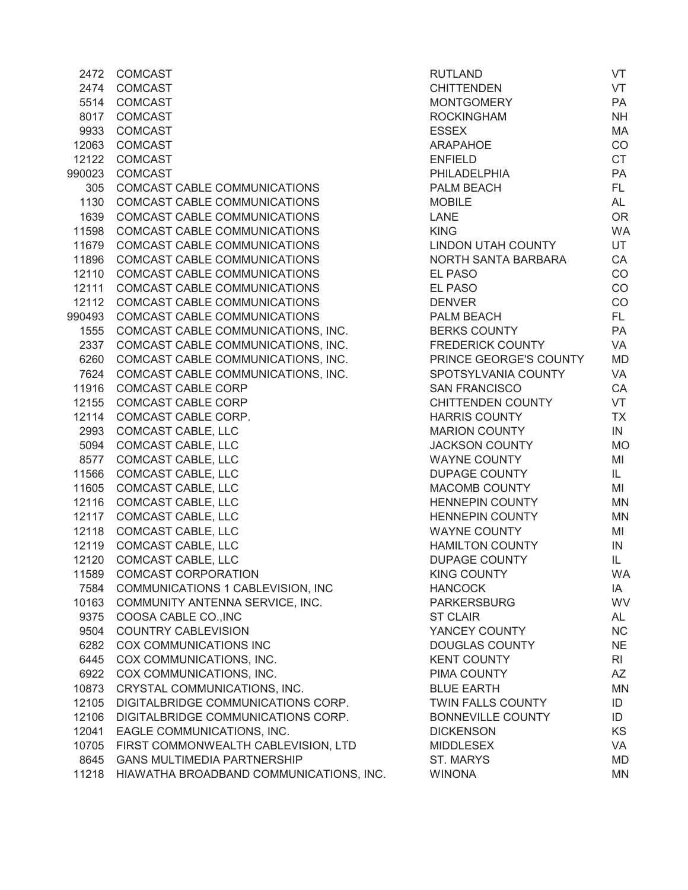| 2472   | <b>COMCAST</b>                          | <b>RUTLAND</b>           | VT        |
|--------|-----------------------------------------|--------------------------|-----------|
| 2474   | <b>COMCAST</b>                          | <b>CHITTENDEN</b>        | <b>VT</b> |
| 5514   | <b>COMCAST</b>                          | <b>MONTGOMERY</b>        | PA        |
| 8017   | <b>COMCAST</b>                          | ROCKINGHAM               | <b>NH</b> |
| 9933   | <b>COMCAST</b>                          | <b>ESSEX</b>             | MA        |
| 12063  | COMCAST                                 | ARAPAHOE                 | CO        |
| 12122  | COMCAST                                 | <b>ENFIELD</b>           | <b>CT</b> |
| 990023 | <b>COMCAST</b>                          | PHILADELPHIA             | PA        |
| 305    | COMCAST CABLE COMMUNICATIONS            | PALM BEACH               | FL.       |
| 1130   | COMCAST CABLE COMMUNICATIONS            | <b>MOBILE</b>            | <b>AL</b> |
| 1639   | COMCAST CABLE COMMUNICATIONS            | <b>LANE</b>              | <b>OR</b> |
| 11598  | COMCAST CABLE COMMUNICATIONS            | <b>KING</b>              | <b>WA</b> |
| 11679  | COMCAST CABLE COMMUNICATIONS            | LINDON UTAH COUNTY       | UT        |
| 11896  | COMCAST CABLE COMMUNICATIONS            | NORTH SANTA BARBARA      | CA        |
| 12110  | COMCAST CABLE COMMUNICATIONS            | EL PASO                  | CO        |
| 12111  | COMCAST CABLE COMMUNICATIONS            | EL PASO                  | CO        |
|        | 12112 COMCAST CABLE COMMUNICATIONS      | <b>DENVER</b>            | CO        |
| 990493 | COMCAST CABLE COMMUNICATIONS            | <b>PALM BEACH</b>        | FL.       |
| 1555   | COMCAST CABLE COMMUNICATIONS, INC.      | BERKS COUNTY             | PA        |
| 2337   | COMCAST CABLE COMMUNICATIONS, INC.      | FREDERICK COUNTY         | VA        |
| 6260   | COMCAST CABLE COMMUNICATIONS, INC.      | PRINCE GEORGE'S COUNTY   | <b>MD</b> |
| 7624   | COMCAST CABLE COMMUNICATIONS, INC.      | SPOTSYLVANIA COUNTY      | VA        |
| 11916  | <b>COMCAST CABLE CORP</b>               | <b>SAN FRANCISCO</b>     | CA        |
| 12155  | <b>COMCAST CABLE CORP</b>               |                          | VT        |
|        | COMCAST CABLE CORP.                     | CHITTENDEN COUNTY        | <b>TX</b> |
| 12114  |                                         | HARRIS COUNTY            |           |
| 2993   | COMCAST CABLE, LLC                      | <b>MARION COUNTY</b>     | IN        |
| 5094   | COMCAST CABLE, LLC                      | <b>JACKSON COUNTY</b>    | <b>MO</b> |
| 8577   | COMCAST CABLE, LLC                      | WAYNE COUNTY             | MI        |
| 11566  | COMCAST CABLE, LLC                      | DUPAGE COUNTY            | IL.       |
| 11605  | COMCAST CABLE, LLC                      | MACOMB COUNTY            | MI        |
| 12116  | COMCAST CABLE, LLC                      | <b>HENNEPIN COUNTY</b>   | <b>MN</b> |
|        | 12117 COMCAST CABLE, LLC                | <b>HENNEPIN COUNTY</b>   | <b>MN</b> |
| 12118  | COMCAST CABLE, LLC                      | WAYNE COUNTY             | MI        |
| 12119  | COMCAST CABLE, LLC                      | <b>HAMILTON COUNTY</b>   | IN        |
| 12120  | COMCAST CABLE, LLC                      | <b>DUPAGE COUNTY</b>     | IL        |
| 11589  | <b>COMCAST CORPORATION</b>              | KING COUNTY              | <b>WA</b> |
| 7584   | COMMUNICATIONS 1 CABLEVISION, INC       | <b>HANCOCK</b>           | IA        |
| 10163  | COMMUNITY ANTENNA SERVICE, INC.         | <b>PARKERSBURG</b>       | <b>WV</b> |
| 9375   | COOSA CABLE CO., INC                    | <b>ST CLAIR</b>          | AL        |
| 9504   | <b>COUNTRY CABLEVISION</b>              | YANCEY COUNTY            | <b>NC</b> |
| 6282   | COX COMMUNICATIONS INC                  | <b>DOUGLAS COUNTY</b>    | <b>NE</b> |
| 6445   | COX COMMUNICATIONS, INC.                | <b>KENT COUNTY</b>       | <b>RI</b> |
| 6922   | COX COMMUNICATIONS, INC.                | PIMA COUNTY              | AZ        |
| 10873  | CRYSTAL COMMUNICATIONS, INC.            | <b>BLUE EARTH</b>        | <b>MN</b> |
| 12105  | DIGITALBRIDGE COMMUNICATIONS CORP.      | TWIN FALLS COUNTY        | ID        |
| 12106  | DIGITALBRIDGE COMMUNICATIONS CORP.      | <b>BONNEVILLE COUNTY</b> | ID        |
| 12041  | EAGLE COMMUNICATIONS, INC.              | <b>DICKENSON</b>         | <b>KS</b> |
| 10705  | FIRST COMMONWEALTH CABLEVISION, LTD     | <b>MIDDLESEX</b>         | VA        |
| 8645   | <b>GANS MULTIMEDIA PARTNERSHIP</b>      | ST. MARYS                | MD        |
| 11218  | HIAWATHA BROADBAND COMMUNICATIONS, INC. | <b>WINONA</b>            | <b>MN</b> |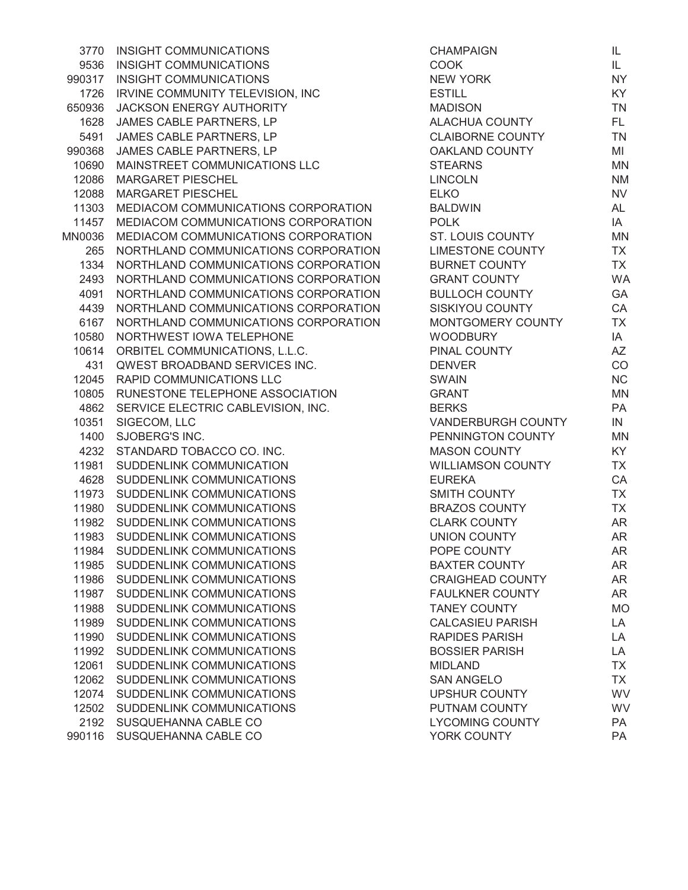| 3770   | INSIGHT COMMUNICATIONS               | <b>CHAMPAIGN</b>         | IL        |
|--------|--------------------------------------|--------------------------|-----------|
| 9536   | <b>INSIGHT COMMUNICATIONS</b>        | <b>COOK</b>              | IL.       |
| 990317 | INSIGHT COMMUNICATIONS               | <b>NEW YORK</b>          | <b>NY</b> |
| 1726   | IRVINE COMMUNITY TELEVISION, INC     | <b>ESTILL</b>            | KY        |
| 650936 | JACKSON ENERGY AUTHORITY             | <b>MADISON</b>           | <b>TN</b> |
| 1628   | JAMES CABLE PARTNERS, LP             | ALACHUA COUNTY           | FL.       |
| 5491   | JAMES CABLE PARTNERS, LP             | <b>CLAIBORNE COUNTY</b>  | <b>TN</b> |
| 990368 | JAMES CABLE PARTNERS, LP             | OAKLAND COUNTY           | MI        |
| 10690  | MAINSTREET COMMUNICATIONS LLC        | <b>STEARNS</b>           | <b>MN</b> |
| 12086  | MARGARET PIESCHEL                    | <b>LINCOLN</b>           | <b>NM</b> |
| 12088  | <b>MARGARET PIESCHEL</b>             | <b>ELKO</b>              | <b>NV</b> |
| 11303  | MEDIACOM COMMUNICATIONS CORPORATION  | <b>BALDWIN</b>           | AL        |
| 11457  | MEDIACOM COMMUNICATIONS CORPORATION  | <b>POLK</b>              | IA        |
| MN0036 | MEDIACOM COMMUNICATIONS CORPORATION  | ST. LOUIS COUNTY         | <b>MN</b> |
| 265    | NORTHLAND COMMUNICATIONS CORPORATION | <b>LIMESTONE COUNTY</b>  | <b>TX</b> |
| 1334   | NORTHLAND COMMUNICATIONS CORPORATION | <b>BURNET COUNTY</b>     | <b>TX</b> |
| 2493   | NORTHLAND COMMUNICATIONS CORPORATION | <b>GRANT COUNTY</b>      | <b>WA</b> |
| 4091   | NORTHLAND COMMUNICATIONS CORPORATION | <b>BULLOCH COUNTY</b>    | GA        |
| 4439   | NORTHLAND COMMUNICATIONS CORPORATION | SISKIYOU COUNTY          | CA        |
| 6167   | NORTHLAND COMMUNICATIONS CORPORATION | MONTGOMERY COUNTY        | <b>TX</b> |
| 10580  | NORTHWEST IOWA TELEPHONE             | <b>WOODBURY</b>          | IA        |
| 10614  | ORBITEL COMMUNICATIONS, L.L.C.       | PINAL COUNTY             | AZ        |
| 431    | QWEST BROADBAND SERVICES INC.        | <b>DENVER</b>            | CO        |
| 12045  | RAPID COMMUNICATIONS LLC             | <b>SWAIN</b>             | NC        |
| 10805  | RUNESTONE TELEPHONE ASSOCIATION      | <b>GRANT</b>             | <b>MN</b> |
| 4862   | SERVICE ELECTRIC CABLEVISION, INC.   | <b>BERKS</b>             | PA        |
| 10351  | SIGECOM, LLC                         | VANDERBURGH COUNTY       | IN        |
| 1400   | SJOBERG'S INC.                       | PENNINGTON COUNTY        | <b>MN</b> |
| 4232   | STANDARD TOBACCO CO. INC.            | <b>MASON COUNTY</b>      | KY        |
| 11981  | SUDDENLINK COMMUNICATION             | <b>WILLIAMSON COUNTY</b> | <b>TX</b> |
| 4628   | SUDDENLINK COMMUNICATIONS            | <b>EUREKA</b>            | CA        |
| 11973  | SUDDENLINK COMMUNICATIONS            | SMITH COUNTY             | <b>TX</b> |
| 11980  | SUDDENLINK COMMUNICATIONS            | <b>BRAZOS COUNTY</b>     | <b>TX</b> |
| 11982  | SUDDENLINK COMMUNICATIONS            | <b>CLARK COUNTY</b>      | <b>AR</b> |
| 11983  | SUDDENLINK COMMUNICATIONS            | UNION COUNTY             | <b>AR</b> |
|        | 11984 SUDDENLINK COMMUNICATIONS      | POPE COUNTY              | <b>AR</b> |
| 11985  | SUDDENLINK COMMUNICATIONS            | <b>BAXTER COUNTY</b>     | AR        |
| 11986  | SUDDENLINK COMMUNICATIONS            | <b>CRAIGHEAD COUNTY</b>  | AR        |
| 11987  | SUDDENLINK COMMUNICATIONS            | <b>FAULKNER COUNTY</b>   | <b>AR</b> |
| 11988  | SUDDENLINK COMMUNICATIONS            | <b>TANEY COUNTY</b>      | <b>MO</b> |
| 11989  | SUDDENLINK COMMUNICATIONS            | <b>CALCASIEU PARISH</b>  | LA        |
| 11990  | SUDDENLINK COMMUNICATIONS            | <b>RAPIDES PARISH</b>    | LA        |
| 11992  | SUDDENLINK COMMUNICATIONS            | <b>BOSSIER PARISH</b>    | LA        |
| 12061  | SUDDENLINK COMMUNICATIONS            | <b>MIDLAND</b>           | <b>TX</b> |
| 12062  | SUDDENLINK COMMUNICATIONS            | <b>SAN ANGELO</b>        | <b>TX</b> |
| 12074  | SUDDENLINK COMMUNICATIONS            | <b>UPSHUR COUNTY</b>     | <b>WV</b> |
| 12502  | SUDDENLINK COMMUNICATIONS            | PUTNAM COUNTY            | <b>WV</b> |
| 2192   | SUSQUEHANNA CABLE CO                 | <b>LYCOMING COUNTY</b>   | PA        |
| 990116 | SUSQUEHANNA CABLE CO                 | YORK COUNTY              | PA        |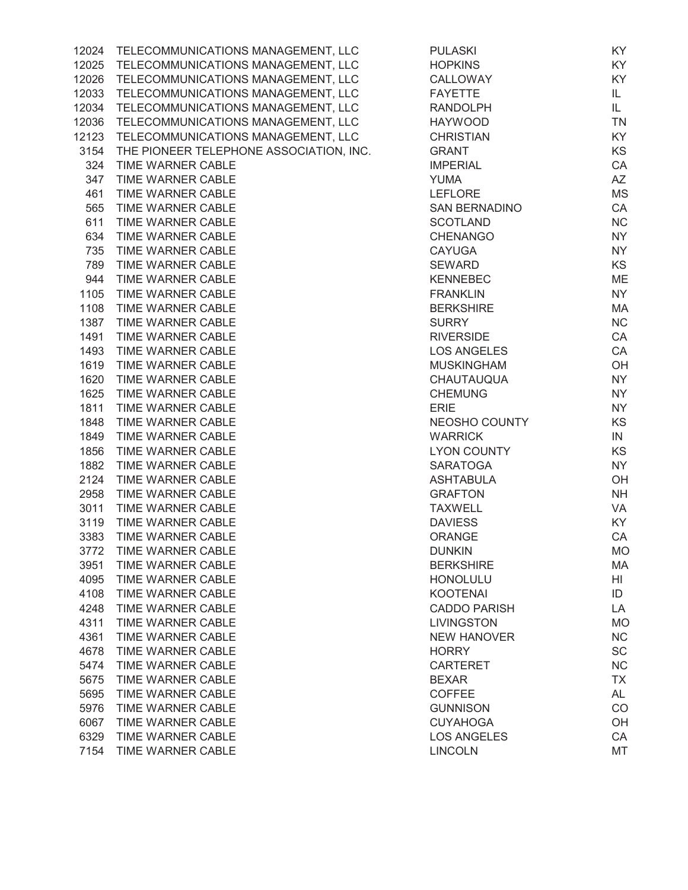| 12024 | TELECOMMUNICATIONS MANAGEMENT, LLC      | <b>PULASKI</b>       | KY.       |
|-------|-----------------------------------------|----------------------|-----------|
| 12025 | TELECOMMUNICATIONS MANAGEMENT, LLC      | <b>HOPKINS</b>       | KY        |
| 12026 | TELECOMMUNICATIONS MANAGEMENT, LLC      | CALLOWAY             | KY        |
| 12033 | TELECOMMUNICATIONS MANAGEMENT, LLC      | <b>FAYETTE</b>       | IL        |
| 12034 | TELECOMMUNICATIONS MANAGEMENT, LLC      | <b>RANDOLPH</b>      | IL.       |
| 12036 | TELECOMMUNICATIONS MANAGEMENT, LLC      | <b>HAYWOOD</b>       | <b>TN</b> |
| 12123 | TELECOMMUNICATIONS MANAGEMENT, LLC      | <b>CHRISTIAN</b>     | KY        |
| 3154  | THE PIONEER TELEPHONE ASSOCIATION, INC. | <b>GRANT</b>         | <b>KS</b> |
| 324   | TIME WARNER CABLE                       | <b>IMPERIAL</b>      | CA        |
| 347   | TIME WARNER CABLE                       | <b>YUMA</b>          | <b>AZ</b> |
| 461   | TIME WARNER CABLE                       | <b>LEFLORE</b>       | <b>MS</b> |
| 565   | TIME WARNER CABLE                       | <b>SAN BERNADINO</b> | CA        |
| 611   | TIME WARNER CABLE                       | <b>SCOTLAND</b>      | <b>NC</b> |
| 634   | TIME WARNER CABLE                       | <b>CHENANGO</b>      | NY        |
| 735   | TIME WARNER CABLE                       | <b>CAYUGA</b>        | NY        |
| 789   | TIME WARNER CABLE                       | <b>SEWARD</b>        | <b>KS</b> |
| 944   | TIME WARNER CABLE                       | <b>KENNEBEC</b>      | ME        |
| 1105  | TIME WARNER CABLE                       | <b>FRANKLIN</b>      | NY        |
| 1108  | TIME WARNER CABLE                       | <b>BERKSHIRE</b>     | MA        |
| 1387  | TIME WARNER CABLE                       | <b>SURRY</b>         | <b>NC</b> |
| 1491  | <b>TIME WARNER CABLE</b>                | <b>RIVERSIDE</b>     | CA        |
| 1493  | TIME WARNER CABLE                       | <b>LOS ANGELES</b>   | CA        |
| 1619  | TIME WARNER CABLE                       | <b>MUSKINGHAM</b>    | OH        |
| 1620  | TIME WARNER CABLE                       | <b>CHAUTAUQUA</b>    | NY        |
| 1625  | TIME WARNER CABLE                       | <b>CHEMUNG</b>       | NY        |
| 1811  | TIME WARNER CABLE                       | <b>ERIE</b>          | <b>NY</b> |
| 1848  | TIME WARNER CABLE                       | NEOSHO COUNTY        | KS        |
| 1849  | TIME WARNER CABLE                       | <b>WARRICK</b>       | IN        |
| 1856  | TIME WARNER CABLE                       | <b>LYON COUNTY</b>   | KS        |
| 1882  | TIME WARNER CABLE                       | <b>SARATOGA</b>      | NY        |
| 2124  | TIME WARNER CABLE                       | <b>ASHTABULA</b>     | OH        |
| 2958  | TIME WARNER CABLE                       | <b>GRAFTON</b>       | <b>NH</b> |
| 3011  | TIME WARNER CABLE                       | <b>TAXWELL</b>       | VA        |
| 3119  | TIME WARNER CABLE                       | <b>DAVIESS</b>       | KY        |
| 3383  | TIME WARNER CABLE                       | <b>ORANGE</b>        | CA        |
| 3772  | TIME WARNER CABLE                       | <b>DUNKIN</b>        | <b>MO</b> |
| 3951  | TIME WARNER CABLE                       | <b>BERKSHIRE</b>     | MA        |
| 4095  | TIME WARNER CABLE                       | <b>HONOLULU</b>      | HI        |
| 4108  | TIME WARNER CABLE                       | <b>KOOTENAI</b>      | ID        |
| 4248  | TIME WARNER CABLE                       | <b>CADDO PARISH</b>  | LA        |
| 4311  | TIME WARNER CABLE                       | <b>LIVINGSTON</b>    | <b>MO</b> |
| 4361  | TIME WARNER CABLE                       | <b>NEW HANOVER</b>   | <b>NC</b> |
| 4678  | TIME WARNER CABLE                       | <b>HORRY</b>         | <b>SC</b> |
| 5474  | TIME WARNER CABLE                       | <b>CARTERET</b>      | <b>NC</b> |
| 5675  | TIME WARNER CABLE                       | <b>BEXAR</b>         | <b>TX</b> |
| 5695  | TIME WARNER CABLE                       | <b>COFFEE</b>        | AL        |
| 5976  | TIME WARNER CABLE                       | <b>GUNNISON</b>      | CO        |
| 6067  | TIME WARNER CABLE                       | <b>CUYAHOGA</b>      | OH        |
| 6329  | TIME WARNER CABLE                       | <b>LOS ANGELES</b>   | CA        |
| 7154  | TIME WARNER CABLE                       | <b>LINCOLN</b>       | МT        |
|       |                                         |                      |           |